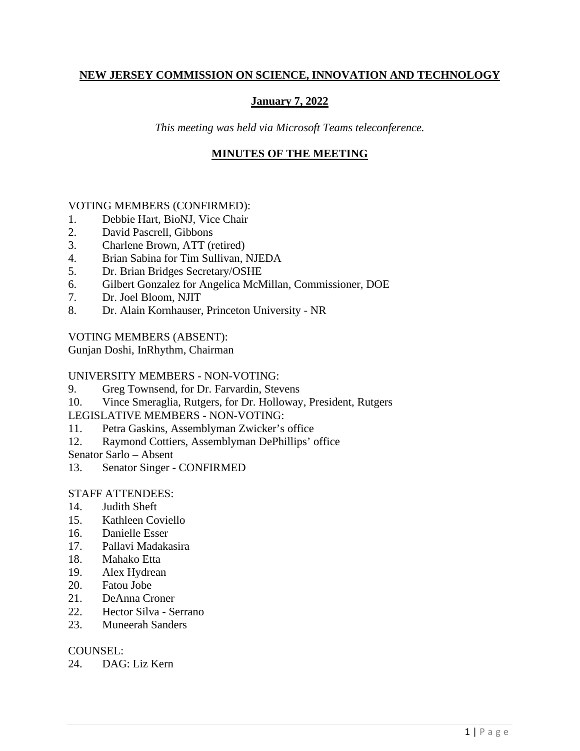### **NEW JERSEY COMMISSION ON SCIENCE, INNOVATION AND TECHNOLOGY**

## **January 7, 2022**

*This meeting was held via Microsoft Teams teleconference.*

### **MINUTES OF THE MEETING**

### VOTING MEMBERS (CONFIRMED):

- 1. Debbie Hart, BioNJ, Vice Chair
- 2. David Pascrell, Gibbons
- 3. Charlene Brown, ATT (retired)
- 4. Brian Sabina for Tim Sullivan, NJEDA
- 5. Dr. Brian Bridges Secretary/OSHE
- 6. Gilbert Gonzalez for Angelica McMillan, Commissioner, DOE
- 7. Dr. Joel Bloom, NJIT
- 8. Dr. Alain Kornhauser, Princeton University NR

### VOTING MEMBERS (ABSENT):

Gunjan Doshi, InRhythm, Chairman

### UNIVERSITY MEMBERS - NON-VOTING:

- 9. Greg Townsend, for Dr. Farvardin, Stevens
- 10. Vince Smeraglia, Rutgers, for Dr. Holloway, President, Rutgers

### LEGISLATIVE MEMBERS - NON-VOTING:

- 11. Petra Gaskins, Assemblyman Zwicker's office
- 12. Raymond Cottiers, Assemblyman DePhillips' office

Senator Sarlo – Absent

13. Senator Singer - CONFIRMED

### STAFF ATTENDEES:

- 14. Judith Sheft
- 15. Kathleen Coviello
- 16. Danielle Esser
- 17. Pallavi Madakasira
- 18. Mahako Etta
- 19. Alex Hydrean
- 20. Fatou Jobe
- 21. DeAnna Croner
- 22. Hector Silva Serrano
- 23. Muneerah Sanders

### COUNSEL:

24. DAG: Liz Kern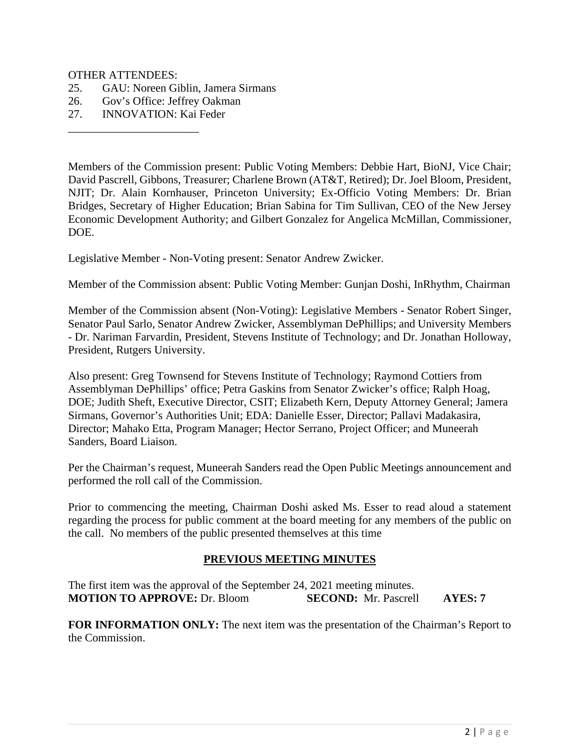#### OTHER ATTENDEES:

- 25. GAU: Noreen Giblin, Jamera Sirmans
- 26. Gov's Office: Jeffrey Oakman
- 27. INNOVATION: Kai Feder

\_\_\_\_\_\_\_\_\_\_\_\_\_\_\_\_\_\_\_\_\_\_\_

Members of the Commission present: Public Voting Members: Debbie Hart, BioNJ, Vice Chair; David Pascrell, Gibbons, Treasurer; Charlene Brown (AT&T, Retired); Dr. Joel Bloom, President, NJIT; Dr. Alain Kornhauser, Princeton University; Ex-Officio Voting Members: Dr. Brian Bridges, Secretary of Higher Education; Brian Sabina for Tim Sullivan, CEO of the New Jersey Economic Development Authority; and Gilbert Gonzalez for Angelica McMillan, Commissioner, DOE.

Legislative Member - Non-Voting present: Senator Andrew Zwicker.

Member of the Commission absent: Public Voting Member: Gunjan Doshi, InRhythm, Chairman

Member of the Commission absent (Non-Voting): Legislative Members - Senator Robert Singer, Senator Paul Sarlo, Senator Andrew Zwicker, Assemblyman DePhillips; and University Members - Dr. Nariman Farvardin, President, Stevens Institute of Technology; and Dr. Jonathan Holloway, President, Rutgers University.

Also present: Greg Townsend for Stevens Institute of Technology; Raymond Cottiers from Assemblyman DePhillips' office; Petra Gaskins from Senator Zwicker's office; Ralph Hoag, DOE; Judith Sheft, Executive Director, CSIT; Elizabeth Kern, Deputy Attorney General; Jamera Sirmans, Governor's Authorities Unit; EDA: Danielle Esser, Director; Pallavi Madakasira, Director; Mahako Etta, Program Manager; Hector Serrano, Project Officer; and Muneerah Sanders, Board Liaison.

Per the Chairman's request, Muneerah Sanders read the Open Public Meetings announcement and performed the roll call of the Commission.

Prior to commencing the meeting, Chairman Doshi asked Ms. Esser to read aloud a statement regarding the process for public comment at the board meeting for any members of the public on the call. No members of the public presented themselves at this time

#### **PREVIOUS MEETING MINUTES**

The first item was the approval of the September 24, 2021 meeting minutes. **MOTION TO APPROVE:** Dr. Bloom **SECOND:** Mr. Pascrell **AYES: 7**

**FOR INFORMATION ONLY:** The next item was the presentation of the Chairman's Report to the Commission.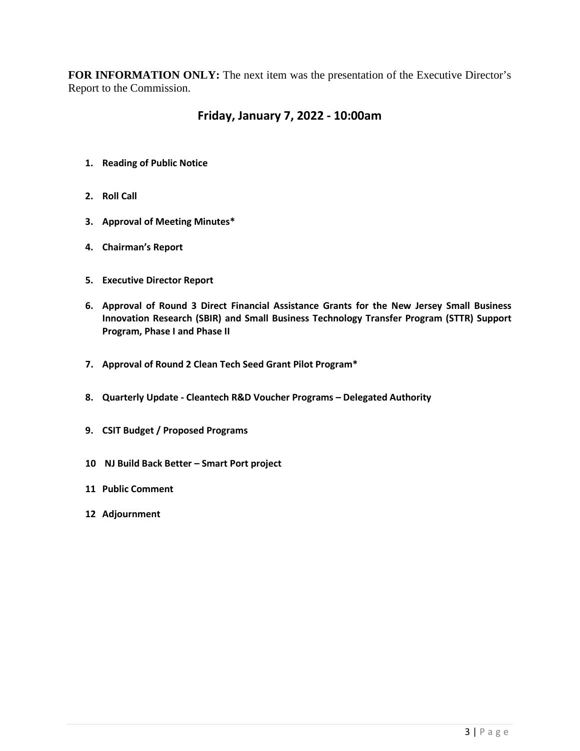**FOR INFORMATION ONLY:** The next item was the presentation of the Executive Director's Report to the Commission.

# **Friday, January 7, 2022 - 10:00am**

- **1. Reading of Public Notice**
- **2. Roll Call**
- **3. Approval of Meeting Minutes\***
- **4. Chairman's Report**
- **5. Executive Director Report**
- **6. Approval of Round 3 Direct Financial Assistance Grants for the New Jersey Small Business Innovation Research (SBIR) and Small Business Technology Transfer Program (STTR) Support Program, Phase I and Phase II**
- **7. Approval of Round 2 Clean Tech Seed Grant Pilot Program\***
- **8. Quarterly Update - Cleantech R&D Voucher Programs – Delegated Authority**
- **9. CSIT Budget / Proposed Programs**
- **10 NJ Build Back Better – Smart Port project**
- **11 Public Comment**
- **12 Adjournment**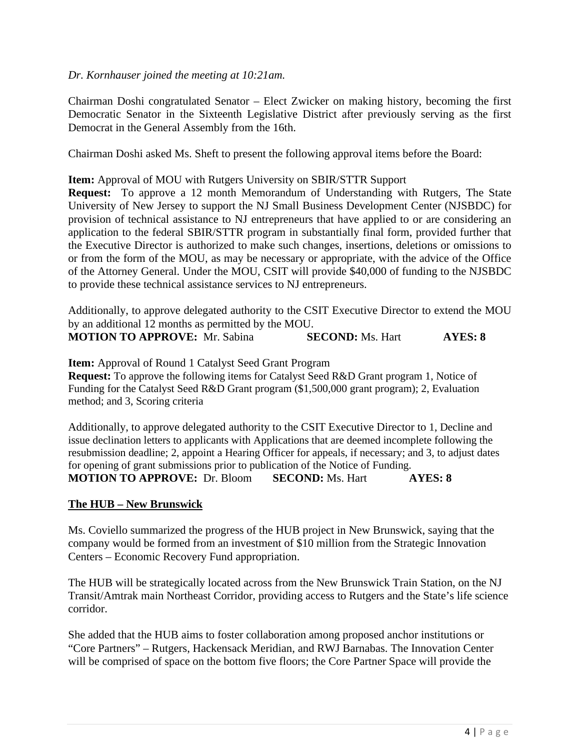### *Dr. Kornhauser joined the meeting at 10:21am.*

Chairman Doshi congratulated Senator – Elect Zwicker on making history, becoming the first Democratic Senator in the Sixteenth Legislative District after previously serving as the first Democrat in the General Assembly from the 16th.

Chairman Doshi asked Ms. Sheft to present the following approval items before the Board:

**Item:** Approval of MOU with Rutgers University on SBIR/STTR Support

**Request:** To approve a 12 month Memorandum of Understanding with Rutgers, The State University of New Jersey to support the NJ Small Business Development Center (NJSBDC) for provision of technical assistance to NJ entrepreneurs that have applied to or are considering an application to the federal SBIR/STTR program in substantially final form, provided further that the Executive Director is authorized to make such changes, insertions, deletions or omissions to or from the form of the MOU, as may be necessary or appropriate, with the advice of the Office of the Attorney General. Under the MOU, CSIT will provide \$40,000 of funding to the NJSBDC to provide these technical assistance services to NJ entrepreneurs.

Additionally, to approve delegated authority to the CSIT Executive Director to extend the MOU by an additional 12 months as permitted by the MOU.

| <b>MOTION TO APPROVE:</b> Mr. Sabina | <b>SECOND:</b> Ms. Hart | AYES: 8 |
|--------------------------------------|-------------------------|---------|
|--------------------------------------|-------------------------|---------|

**Item:** Approval of Round 1 Catalyst Seed Grant Program

**Request:** To approve the following items for Catalyst Seed R&D Grant program 1, Notice of Funding for the Catalyst Seed R&D Grant program (\$1,500,000 grant program); 2, Evaluation method; and 3, Scoring criteria

Additionally, to approve delegated authority to the CSIT Executive Director to 1, Decline and issue declination letters to applicants with Applications that are deemed incomplete following the resubmission deadline; 2, appoint a Hearing Officer for appeals, if necessary; and 3, to adjust dates for opening of grant submissions prior to publication of the Notice of Funding. **MOTION TO APPROVE:** Dr. Bloom **SECOND:** Ms. Hart **AYES: 8**

#### **The HUB – New Brunswick**

Ms. Coviello summarized the progress of the HUB project in New Brunswick, saying that the company would be formed from an investment of \$10 million from the Strategic Innovation Centers – Economic Recovery Fund appropriation.

The HUB will be strategically located across from the New Brunswick Train Station, on the NJ Transit/Amtrak main Northeast Corridor, providing access to Rutgers and the State's life science corridor.

She added that the HUB aims to foster collaboration among proposed anchor institutions or "Core Partners" – Rutgers, Hackensack Meridian, and RWJ Barnabas. The Innovation Center will be comprised of space on the bottom five floors; the Core Partner Space will provide the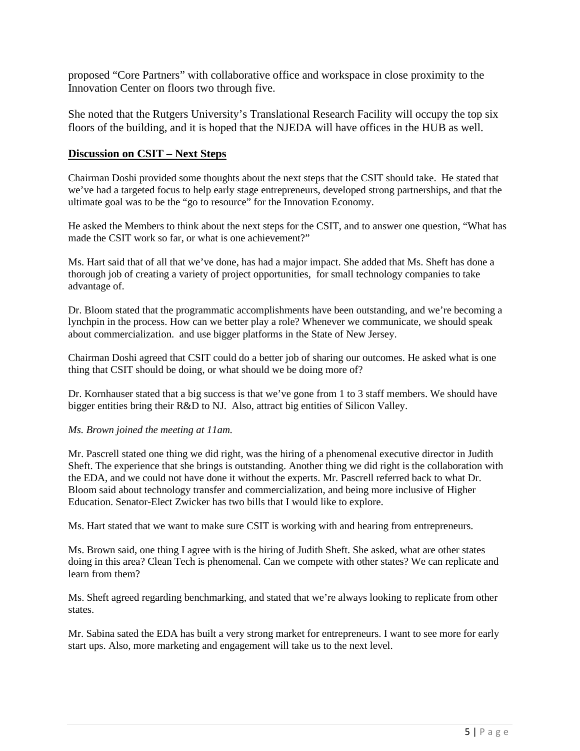proposed "Core Partners" with collaborative office and workspace in close proximity to the Innovation Center on floors two through five.

She noted that the Rutgers University's Translational Research Facility will occupy the top six floors of the building, and it is hoped that the NJEDA will have offices in the HUB as well.

#### **Discussion on CSIT – Next Steps**

Chairman Doshi provided some thoughts about the next steps that the CSIT should take. He stated that we've had a targeted focus to help early stage entrepreneurs, developed strong partnerships, and that the ultimate goal was to be the "go to resource" for the Innovation Economy.

He asked the Members to think about the next steps for the CSIT, and to answer one question, "What has made the CSIT work so far, or what is one achievement?"

Ms. Hart said that of all that we've done, has had a major impact. She added that Ms. Sheft has done a thorough job of creating a variety of project opportunities, for small technology companies to take advantage of.

Dr. Bloom stated that the programmatic accomplishments have been outstanding, and we're becoming a lynchpin in the process. How can we better play a role? Whenever we communicate, we should speak about commercialization. and use bigger platforms in the State of New Jersey.

Chairman Doshi agreed that CSIT could do a better job of sharing our outcomes. He asked what is one thing that CSIT should be doing, or what should we be doing more of?

Dr. Kornhauser stated that a big success is that we've gone from 1 to 3 staff members. We should have bigger entities bring their R&D to NJ. Also, attract big entities of Silicon Valley.

#### *Ms. Brown joined the meeting at 11am.*

Mr. Pascrell stated one thing we did right, was the hiring of a phenomenal executive director in Judith Sheft. The experience that she brings is outstanding. Another thing we did right is the collaboration with the EDA, and we could not have done it without the experts. Mr. Pascrell referred back to what Dr. Bloom said about technology transfer and commercialization, and being more inclusive of Higher Education. Senator-Elect Zwicker has two bills that I would like to explore.

Ms. Hart stated that we want to make sure CSIT is working with and hearing from entrepreneurs.

Ms. Brown said, one thing I agree with is the hiring of Judith Sheft. She asked, what are other states doing in this area? Clean Tech is phenomenal. Can we compete with other states? We can replicate and learn from them?

Ms. Sheft agreed regarding benchmarking, and stated that we're always looking to replicate from other states.

Mr. Sabina sated the EDA has built a very strong market for entrepreneurs. I want to see more for early start ups. Also, more marketing and engagement will take us to the next level.